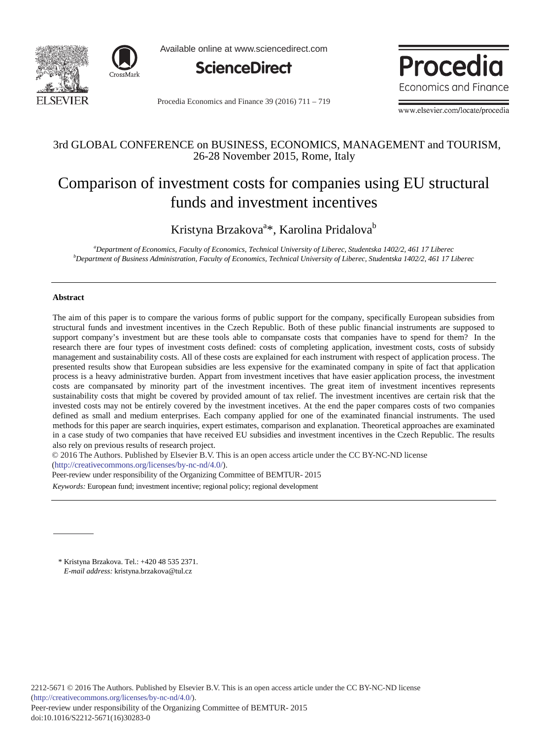



Available online at www.sciencedirect.com



Procedia Economics and Finance 39 (2016)  $711 - 719$ 



www.elsevier.com/locate/procedia

# 3rd GLOBAL CONFERENCE on BUSINESS, ECONOMICS, MANAGEMENT and TOURISM, 26-28 November 2015, Rome, Italy

# Comparison of investment costs for companies using EU structural funds and investment incentives

Kristyna Brzakova<sup>a</sup>\*, Karolina Pridalova<sup>b</sup>

*a Department of Economics, Faculty of Economics, Technical University of Liberec, Studentska 1402/2, 461 17 Liberec b Department of Business Administration, Faculty of Economics, Technical University of Liberec, Studentska 1402/2, 461 17 Liberec* 

## **Abstract**

The aim of this paper is to compare the various forms of public support for the company, specifically European subsidies from structural funds and investment incentives in the Czech Republic. Both of these public financial instruments are supposed to support company's investment but are these tools able to compansate costs that companies have to spend for them? In the research there are four types of investment costs defined: costs of completing application, investment costs, costs of subsidy management and sustainability costs. All of these costs are explained for each instrument with respect of application process. The presented results show that European subsidies are less expensive for the examinated company in spite of fact that application process is a heavy administrative burden. Appart from investment incetives that have easier application process, the investment costs are compansated by minority part of the investment incentives. The great item of investment incentives represents sustainability costs that might be covered by provided amount of tax relief. The investment incentives are certain risk that the invested costs may not be entirely covered by the investment incetives. At the end the paper compares costs of two companies defined as small and medium enterprises. Each company applied for one of the examinated financial instruments. The used methods for this paper are search inquiries, expert estimates, comparison and explanation. Theoretical approaches are examinated in a case study of two companies that have received EU subsidies and investment incentives in the Czech Republic. The results also rely on previous results of research project.

© 2016 The Authors. Published by Elsevier B.V. © 2016 The Authors. Published by Elsevier B.V. This is an open access article under the CC BY-NC-ND license (http://creativecommons.org/licenses/by-nc-nd/4.0/).

*Keywords:* European fund; investment incentive; regional policy; regional development Peer-review under responsibility of the Organizing Committee of BEMTUR- 2015

\* Kristyna Brzakova. Tel.: +420 48 535 2371. *E-mail address:* kristyna.brzakova@tul.cz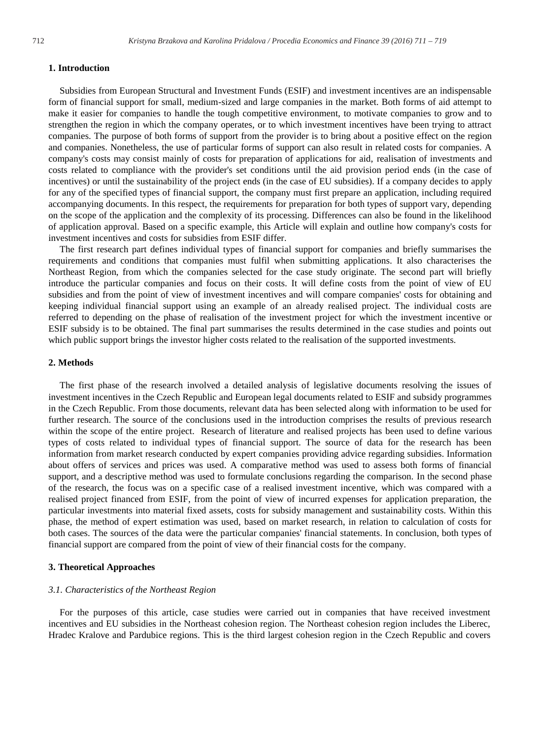# **1. Introduction**

Subsidies from European Structural and Investment Funds (ESIF) and investment incentives are an indispensable form of financial support for small, medium-sized and large companies in the market. Both forms of aid attempt to make it easier for companies to handle the tough competitive environment, to motivate companies to grow and to strengthen the region in which the company operates, or to which investment incentives have been trying to attract companies. The purpose of both forms of support from the provider is to bring about a positive effect on the region and companies. Nonetheless, the use of particular forms of support can also result in related costs for companies. A company's costs may consist mainly of costs for preparation of applications for aid, realisation of investments and costs related to compliance with the provider's set conditions until the aid provision period ends (in the case of incentives) or until the sustainability of the project ends (in the case of EU subsidies). If a company decides to apply for any of the specified types of financial support, the company must first prepare an application, including required accompanying documents. In this respect, the requirements for preparation for both types of support vary, depending on the scope of the application and the complexity of its processing. Differences can also be found in the likelihood of application approval. Based on a specific example, this Article will explain and outline how company's costs for investment incentives and costs for subsidies from ESIF differ.

The first research part defines individual types of financial support for companies and briefly summarises the requirements and conditions that companies must fulfil when submitting applications. It also characterises the Northeast Region, from which the companies selected for the case study originate. The second part will briefly introduce the particular companies and focus on their costs. It will define costs from the point of view of EU subsidies and from the point of view of investment incentives and will compare companies' costs for obtaining and keeping individual financial support using an example of an already realised project. The individual costs are referred to depending on the phase of realisation of the investment project for which the investment incentive or ESIF subsidy is to be obtained. The final part summarises the results determined in the case studies and points out which public support brings the investor higher costs related to the realisation of the supported investments.

# **2. Methods**

The first phase of the research involved a detailed analysis of legislative documents resolving the issues of investment incentives in the Czech Republic and European legal documents related to ESIF and subsidy programmes in the Czech Republic. From those documents, relevant data has been selected along with information to be used for further research. The source of the conclusions used in the introduction comprises the results of previous research within the scope of the entire project. Research of literature and realised projects has been used to define various types of costs related to individual types of financial support. The source of data for the research has been information from market research conducted by expert companies providing advice regarding subsidies. Information about offers of services and prices was used. A comparative method was used to assess both forms of financial support, and a descriptive method was used to formulate conclusions regarding the comparison. In the second phase of the research, the focus was on a specific case of a realised investment incentive, which was compared with a realised project financed from ESIF, from the point of view of incurred expenses for application preparation, the particular investments into material fixed assets, costs for subsidy management and sustainability costs. Within this phase, the method of expert estimation was used, based on market research, in relation to calculation of costs for both cases. The sources of the data were the particular companies' financial statements. In conclusion, both types of financial support are compared from the point of view of their financial costs for the company.

# **3. Theoretical Approaches**

#### *3.1. Characteristics of the Northeast Region*

For the purposes of this article, case studies were carried out in companies that have received investment incentives and EU subsidies in the Northeast cohesion region. The Northeast cohesion region includes the Liberec, Hradec Kralove and Pardubice regions. This is the third largest cohesion region in the Czech Republic and covers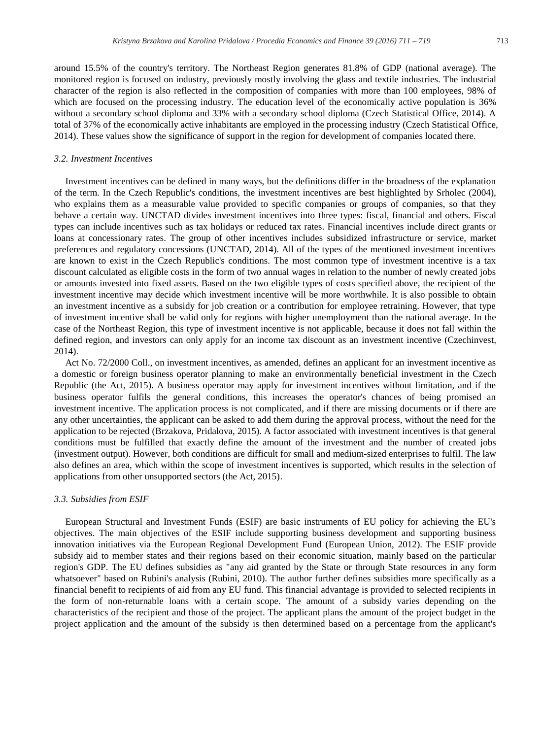2014). These values show the significance of support in the region for development of companies located there.

around 15.5% of the country's territory. The Northeast Region generates 81.8% of GDP (national average). The monitored region is focused on industry, previously mostly involving the glass and textile industries. The industrial character of the region is also reflected in the composition of companies with more than 100 employees, 98% of which are focused on the processing industry. The education level of the economically active population is 36% without a secondary school diploma and 33% with a secondary school diploma (Czech Statistical Office, 2014). A total of 37% of the economically active inhabitants are employed in the processing industry (Czech Statistical Office,

#### *3.2. Investment Incentives*

Investment incentives can be defined in many ways, but the definitions differ in the broadness of the explanation of the term. In the Czech Republic's conditions, the investment incentives are best highlighted by Srholec (2004), who explains them as a measurable value provided to specific companies or groups of companies, so that they behave a certain way. UNCTAD divides investment incentives into three types: fiscal, financial and others. Fiscal types can include incentives such as tax holidays or reduced tax rates. Financial incentives include direct grants or loans at concessionary rates. The group of other incentives includes subsidized infrastructure or service, market preferences and regulatory concessions (UNCTAD, 2014). All of the types of the mentioned investment incentives are known to exist in the Czech Republic's conditions. The most common type of investment incentive is a tax discount calculated as eligible costs in the form of two annual wages in relation to the number of newly created jobs or amounts invested into fixed assets. Based on the two eligible types of costs specified above, the recipient of the investment incentive may decide which investment incentive will be more worthwhile. It is also possible to obtain an investment incentive as a subsidy for job creation or a contribution for employee retraining. However, that type of investment incentive shall be valid only for regions with higher unemployment than the national average. In the case of the Northeast Region, this type of investment incentive is not applicable, because it does not fall within the defined region, and investors can only apply for an income tax discount as an investment incentive (Czechinvest, 2014).

Act No. 72/2000 Coll., on investment incentives, as amended, defines an applicant for an investment incentive as a domestic or foreign business operator planning to make an environmentally beneficial investment in the Czech Republic (the Act, 2015). A business operator may apply for investment incentives without limitation, and if the business operator fulfils the general conditions, this increases the operator's chances of being promised an investment incentive. The application process is not complicated, and if there are missing documents or if there are any other uncertainties, the applicant can be asked to add them during the approval process, without the need for the application to be rejected (Brzakova, Pridalova, 2015). A factor associated with investment incentives is that general conditions must be fulfilled that exactly define the amount of the investment and the number of created jobs (investment output). However, both conditions are difficult for small and medium-sized enterprises to fulfil. The law also defines an area, which within the scope of investment incentives is supported, which results in the selection of applications from other unsupported sectors (the Act, 2015).

#### *3.3. Subsidies from ESIF*

European Structural and Investment Funds (ESIF) are basic instruments of EU policy for achieving the EU's objectives. The main objectives of the ESIF include supporting business development and supporting business innovation initiatives via the European Regional Development Fund (European Union, 2012). The ESIF provide subsidy aid to member states and their regions based on their economic situation, mainly based on the particular region's GDP. The EU defines subsidies as "any aid granted by the State or through State resources in any form whatsoever" based on Rubini's analysis (Rubini, 2010). The author further defines subsidies more specifically as a financial benefit to recipients of aid from any EU fund. This financial advantage is provided to selected recipients in the form of non-returnable loans with a certain scope. The amount of a subsidy varies depending on the characteristics of the recipient and those of the project. The applicant plans the amount of the project budget in the project application and the amount of the subsidy is then determined based on a percentage from the applicant's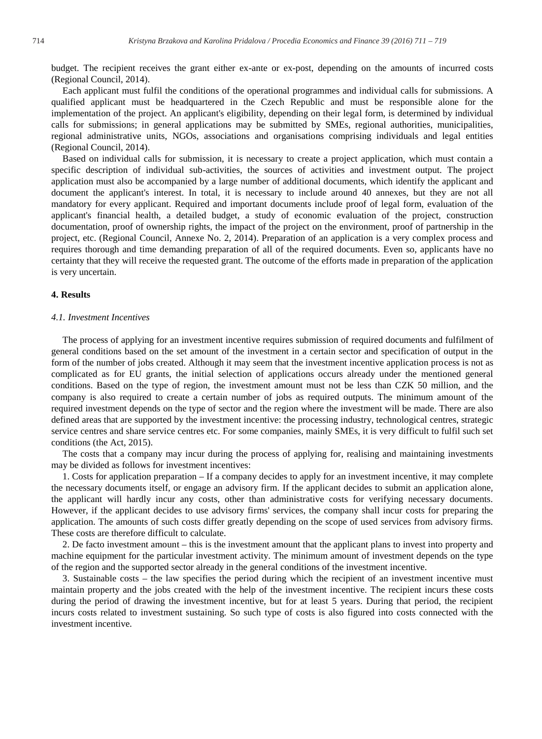budget. The recipient receives the grant either ex-ante or ex-post, depending on the amounts of incurred costs (Regional Council, 2014).

Each applicant must fulfil the conditions of the operational programmes and individual calls for submissions. A qualified applicant must be headquartered in the Czech Republic and must be responsible alone for the implementation of the project. An applicant's eligibility, depending on their legal form, is determined by individual calls for submissions; in general applications may be submitted by SMEs, regional authorities, municipalities, regional administrative units, NGOs, associations and organisations comprising individuals and legal entities (Regional Council, 2014).

Based on individual calls for submission, it is necessary to create a project application, which must contain a specific description of individual sub-activities, the sources of activities and investment output. The project application must also be accompanied by a large number of additional documents, which identify the applicant and document the applicant's interest. In total, it is necessary to include around 40 annexes, but they are not all mandatory for every applicant. Required and important documents include proof of legal form, evaluation of the applicant's financial health, a detailed budget, a study of economic evaluation of the project, construction documentation, proof of ownership rights, the impact of the project on the environment, proof of partnership in the project, etc. (Regional Council, Annexe No. 2, 2014). Preparation of an application is a very complex process and requires thorough and time demanding preparation of all of the required documents. Even so, applicants have no certainty that they will receive the requested grant. The outcome of the efforts made in preparation of the application is very uncertain.

# **4. Results**

#### *4.1. Investment Incentives*

The process of applying for an investment incentive requires submission of required documents and fulfilment of general conditions based on the set amount of the investment in a certain sector and specification of output in the form of the number of jobs created. Although it may seem that the investment incentive application process is not as complicated as for EU grants, the initial selection of applications occurs already under the mentioned general conditions. Based on the type of region, the investment amount must not be less than CZK 50 million, and the company is also required to create a certain number of jobs as required outputs. The minimum amount of the required investment depends on the type of sector and the region where the investment will be made. There are also defined areas that are supported by the investment incentive: the processing industry, technological centres, strategic service centres and share service centres etc. For some companies, mainly SMEs, it is very difficult to fulfil such set conditions (the Act, 2015).

The costs that a company may incur during the process of applying for, realising and maintaining investments may be divided as follows for investment incentives:

1. Costs for application preparation – If a company decides to apply for an investment incentive, it may complete the necessary documents itself, or engage an advisory firm. If the applicant decides to submit an application alone, the applicant will hardly incur any costs, other than administrative costs for verifying necessary documents. However, if the applicant decides to use advisory firms' services, the company shall incur costs for preparing the application. The amounts of such costs differ greatly depending on the scope of used services from advisory firms. These costs are therefore difficult to calculate.

2. De facto investment amount – this is the investment amount that the applicant plans to invest into property and machine equipment for the particular investment activity. The minimum amount of investment depends on the type of the region and the supported sector already in the general conditions of the investment incentive.

3. Sustainable costs – the law specifies the period during which the recipient of an investment incentive must maintain property and the jobs created with the help of the investment incentive. The recipient incurs these costs during the period of drawing the investment incentive, but for at least 5 years. During that period, the recipient incurs costs related to investment sustaining. So such type of costs is also figured into costs connected with the investment incentive.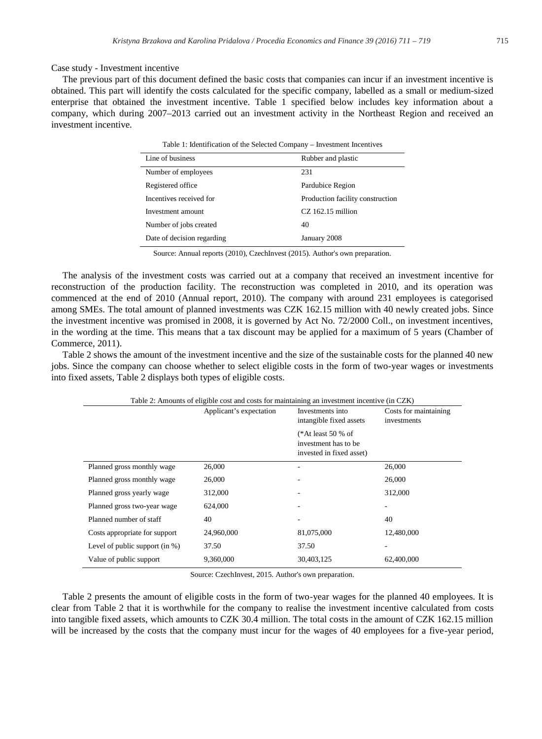Case study - Investment incentive

The previous part of this document defined the basic costs that companies can incur if an investment incentive is obtained. This part will identify the costs calculated for the specific company, labelled as a small or medium-sized enterprise that obtained the investment incentive. Table 1 specified below includes key information about a company, which during 2007–2013 carried out an investment activity in the Northeast Region and received an investment incentive.

| Table 1: Identification of the Selected Company – Investment Incentives |                                  |  |
|-------------------------------------------------------------------------|----------------------------------|--|
| Line of business                                                        | Rubber and plastic               |  |
| Number of employees                                                     | 231                              |  |
| Registered office                                                       | Pardubice Region                 |  |
| Incentives received for                                                 | Production facility construction |  |
| Investment amount                                                       | $CZ$ 162.15 million              |  |
| Number of jobs created                                                  | 40                               |  |
| Date of decision regarding                                              | January 2008                     |  |

Source: Annual reports (2010), CzechInvest (2015). Author's own preparation.

The analysis of the investment costs was carried out at a company that received an investment incentive for reconstruction of the production facility. The reconstruction was completed in 2010, and its operation was commenced at the end of 2010 (Annual report, 2010). The company with around 231 employees is categorised among SMEs. The total amount of planned investments was CZK 162.15 million with 40 newly created jobs. Since the investment incentive was promised in 2008, it is governed by Act No. 72/2000 Coll., on investment incentives, in the wording at the time. This means that a tax discount may be applied for a maximum of 5 years (Chamber of Commerce, 2011).

Table 2 shows the amount of the investment incentive and the size of the sustainable costs for the planned 40 new jobs. Since the company can choose whether to select eligible costs in the form of two-year wages or investments into fixed assets, Table 2 displays both types of eligible costs.

| Table 2: Amounts of eligible cost and costs for maintaining an investment incentive (in CZK) |                         |                                                                         |                                      |  |
|----------------------------------------------------------------------------------------------|-------------------------|-------------------------------------------------------------------------|--------------------------------------|--|
|                                                                                              | Applicant's expectation | Investments into<br>intangible fixed assets                             | Costs for maintaining<br>investments |  |
|                                                                                              |                         | (*At least 50 % of<br>investment has to be.<br>invested in fixed asset) |                                      |  |
| Planned gross monthly wage                                                                   | 26,000                  |                                                                         | 26,000                               |  |
| Planned gross monthly wage                                                                   | 26,000                  |                                                                         | 26,000                               |  |
| Planned gross yearly wage                                                                    | 312,000                 |                                                                         | 312,000                              |  |
| Planned gross two-year wage                                                                  | 624,000                 |                                                                         |                                      |  |
| Planned number of staff                                                                      | 40                      |                                                                         | 40                                   |  |
| Costs appropriate for support                                                                | 24,960,000              | 81,075,000                                                              | 12,480,000                           |  |
| Level of public support $(in %)$                                                             | 37.50                   | 37.50                                                                   |                                      |  |
| Value of public support                                                                      | 9,360,000               | 30,403,125                                                              | 62,400,000                           |  |

Source: CzechInvest, 2015. Author's own preparation.

Table 2 presents the amount of eligible costs in the form of two-year wages for the planned 40 employees. It is clear from Table 2 that it is worthwhile for the company to realise the investment incentive calculated from costs into tangible fixed assets, which amounts to CZK 30.4 million. The total costs in the amount of CZK 162.15 million will be increased by the costs that the company must incur for the wages of 40 employees for a five-year period,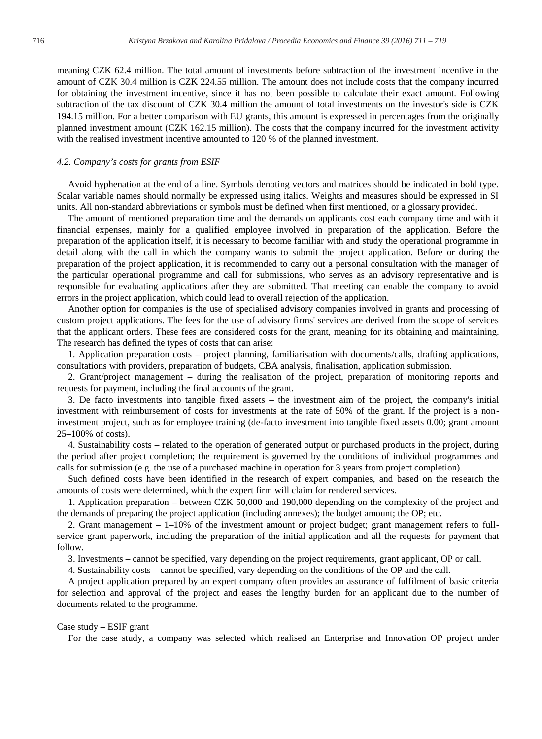meaning CZK 62.4 million. The total amount of investments before subtraction of the investment incentive in the amount of CZK 30.4 million is CZK 224.55 million. The amount does not include costs that the company incurred for obtaining the investment incentive, since it has not been possible to calculate their exact amount. Following subtraction of the tax discount of CZK 30.4 million the amount of total investments on the investor's side is CZK 194.15 million. For a better comparison with EU grants, this amount is expressed in percentages from the originally planned investment amount (CZK 162.15 million). The costs that the company incurred for the investment activity with the realised investment incentive amounted to 120 % of the planned investment.

#### *4.2. Company's costs for grants from ESIF*

Avoid hyphenation at the end of a line. Symbols denoting vectors and matrices should be indicated in bold type. Scalar variable names should normally be expressed using italics. Weights and measures should be expressed in SI units. All non-standard abbreviations or symbols must be defined when first mentioned, or a glossary provided.

The amount of mentioned preparation time and the demands on applicants cost each company time and with it financial expenses, mainly for a qualified employee involved in preparation of the application. Before the preparation of the application itself, it is necessary to become familiar with and study the operational programme in detail along with the call in which the company wants to submit the project application. Before or during the preparation of the project application, it is recommended to carry out a personal consultation with the manager of the particular operational programme and call for submissions, who serves as an advisory representative and is responsible for evaluating applications after they are submitted. That meeting can enable the company to avoid errors in the project application, which could lead to overall rejection of the application.

Another option for companies is the use of specialised advisory companies involved in grants and processing of custom project applications. The fees for the use of advisory firms' services are derived from the scope of services that the applicant orders. These fees are considered costs for the grant, meaning for its obtaining and maintaining. The research has defined the types of costs that can arise:

1. Application preparation costs – project planning, familiarisation with documents/calls, drafting applications, consultations with providers, preparation of budgets, CBA analysis, finalisation, application submission.

2. Grant/project management – during the realisation of the project, preparation of monitoring reports and requests for payment, including the final accounts of the grant.

3. De facto investments into tangible fixed assets – the investment aim of the project, the company's initial investment with reimbursement of costs for investments at the rate of 50% of the grant. If the project is a noninvestment project, such as for employee training (de-facto investment into tangible fixed assets 0.00; grant amount 25–100% of costs).

4. Sustainability costs – related to the operation of generated output or purchased products in the project, during the period after project completion; the requirement is governed by the conditions of individual programmes and calls for submission (e.g. the use of a purchased machine in operation for 3 years from project completion).

Such defined costs have been identified in the research of expert companies, and based on the research the amounts of costs were determined, which the expert firm will claim for rendered services.

1. Application preparation – between CZK 50,000 and 190,000 depending on the complexity of the project and the demands of preparing the project application (including annexes); the budget amount; the OP; etc.

2. Grant management – 1–10% of the investment amount or project budget; grant management refers to fullservice grant paperwork, including the preparation of the initial application and all the requests for payment that follow.

3. Investments – cannot be specified, vary depending on the project requirements, grant applicant, OP or call.

4. Sustainability costs – cannot be specified, vary depending on the conditions of the OP and the call.

A project application prepared by an expert company often provides an assurance of fulfilment of basic criteria for selection and approval of the project and eases the lengthy burden for an applicant due to the number of documents related to the programme.

#### Case study – ESIF grant

For the case study, a company was selected which realised an Enterprise and Innovation OP project under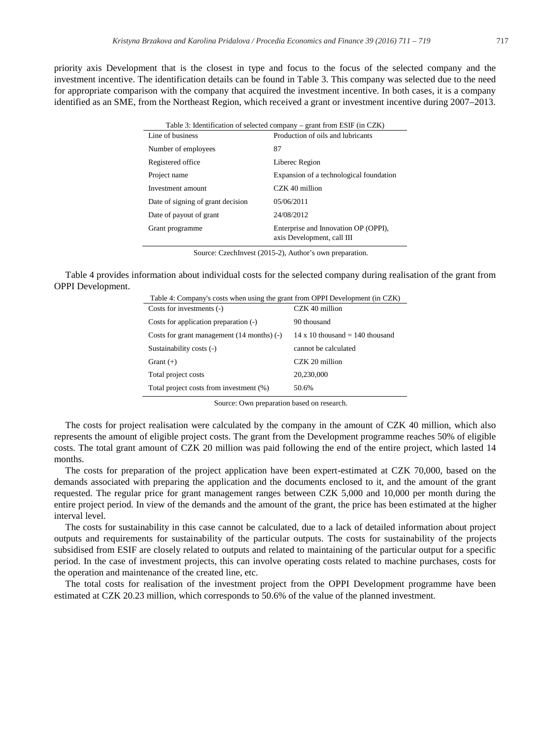priority axis Development that is the closest in type and focus to the focus of the selected company and the investment incentive. The identification details can be found in Table 3. This company was selected due to the need for appropriate comparison with the company that acquired the investment incentive. In both cases, it is a company identified as an SME, from the Northeast Region, which received a grant or investment incentive during 2007–2013.

| Table 3: Identification of selected company – grant from ESIF (in CZK) |                                                                    |  |
|------------------------------------------------------------------------|--------------------------------------------------------------------|--|
| Line of business                                                       | Production of oils and lubricants                                  |  |
| Number of employees                                                    | 87                                                                 |  |
| Registered office                                                      | Liberec Region                                                     |  |
| Project name                                                           | Expansion of a technological foundation                            |  |
| Investment amount                                                      | CZK 40 million                                                     |  |
| Date of signing of grant decision                                      | 05/06/2011                                                         |  |
| Date of payout of grant                                                | 24/08/2012                                                         |  |
| Grant programme                                                        | Enterprise and Innovation OP (OPPI),<br>axis Development, call III |  |

Source: CzechInvest (2015-2), Author's own preparation.

Table 4 provides information about individual costs for the selected company during realisation of the grant from OPPI Development.

| Table 4: Company's costs when using the grant from OPPI Development (in CZK) |                                        |  |
|------------------------------------------------------------------------------|----------------------------------------|--|
| Costs for investments (-)                                                    | CZK 40 million                         |  |
| Costs for application preparation (-)                                        | 90 thousand                            |  |
| Costs for grant management $(14$ months) $(-)$                               | $14 \times 10$ thousand = 140 thousand |  |
| Sustainability costs (-)                                                     | cannot be calculated                   |  |
| Grant $(+)$                                                                  | CZK 20 million                         |  |
| Total project costs                                                          | 20,230,000                             |  |
| Total project costs from investment (%)                                      | 50.6%                                  |  |

Source: Own preparation based on research.

The costs for project realisation were calculated by the company in the amount of CZK 40 million, which also represents the amount of eligible project costs. The grant from the Development programme reaches 50% of eligible costs. The total grant amount of CZK 20 million was paid following the end of the entire project, which lasted 14 months.

The costs for preparation of the project application have been expert-estimated at CZK 70,000, based on the demands associated with preparing the application and the documents enclosed to it, and the amount of the grant requested. The regular price for grant management ranges between CZK 5,000 and 10,000 per month during the entire project period. In view of the demands and the amount of the grant, the price has been estimated at the higher interval level.

The costs for sustainability in this case cannot be calculated, due to a lack of detailed information about project outputs and requirements for sustainability of the particular outputs. The costs for sustainability of the projects subsidised from ESIF are closely related to outputs and related to maintaining of the particular output for a specific period. In the case of investment projects, this can involve operating costs related to machine purchases, costs for the operation and maintenance of the created line, etc.

The total costs for realisation of the investment project from the OPPI Development programme have been estimated at CZK 20.23 million, which corresponds to 50.6% of the value of the planned investment.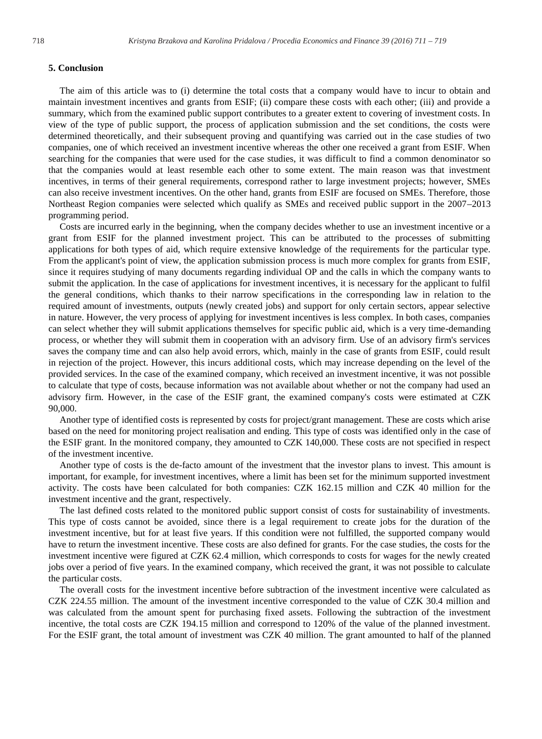# **5. Conclusion**

The aim of this article was to (i) determine the total costs that a company would have to incur to obtain and maintain investment incentives and grants from ESIF; (ii) compare these costs with each other; (iii) and provide a summary, which from the examined public support contributes to a greater extent to covering of investment costs. In view of the type of public support, the process of application submission and the set conditions, the costs were determined theoretically, and their subsequent proving and quantifying was carried out in the case studies of two companies, one of which received an investment incentive whereas the other one received a grant from ESIF. When searching for the companies that were used for the case studies, it was difficult to find a common denominator so that the companies would at least resemble each other to some extent. The main reason was that investment incentives, in terms of their general requirements, correspond rather to large investment projects; however, SMEs can also receive investment incentives. On the other hand, grants from ESIF are focused on SMEs. Therefore, those Northeast Region companies were selected which qualify as SMEs and received public support in the 2007–2013 programming period.

Costs are incurred early in the beginning, when the company decides whether to use an investment incentive or a grant from ESIF for the planned investment project. This can be attributed to the processes of submitting applications for both types of aid, which require extensive knowledge of the requirements for the particular type. From the applicant's point of view, the application submission process is much more complex for grants from ESIF, since it requires studying of many documents regarding individual OP and the calls in which the company wants to submit the application. In the case of applications for investment incentives, it is necessary for the applicant to fulfil the general conditions, which thanks to their narrow specifications in the corresponding law in relation to the required amount of investments, outputs (newly created jobs) and support for only certain sectors, appear selective in nature. However, the very process of applying for investment incentives is less complex. In both cases, companies can select whether they will submit applications themselves for specific public aid, which is a very time-demanding process, or whether they will submit them in cooperation with an advisory firm. Use of an advisory firm's services saves the company time and can also help avoid errors, which, mainly in the case of grants from ESIF, could result in rejection of the project. However, this incurs additional costs, which may increase depending on the level of the provided services. In the case of the examined company, which received an investment incentive, it was not possible to calculate that type of costs, because information was not available about whether or not the company had used an advisory firm. However, in the case of the ESIF grant, the examined company's costs were estimated at CZK 90,000.

Another type of identified costs is represented by costs for project/grant management. These are costs which arise based on the need for monitoring project realisation and ending. This type of costs was identified only in the case of the ESIF grant. In the monitored company, they amounted to CZK 140,000. These costs are not specified in respect of the investment incentive.

Another type of costs is the de-facto amount of the investment that the investor plans to invest. This amount is important, for example, for investment incentives, where a limit has been set for the minimum supported investment activity. The costs have been calculated for both companies: CZK 162.15 million and CZK 40 million for the investment incentive and the grant, respectively.

The last defined costs related to the monitored public support consist of costs for sustainability of investments. This type of costs cannot be avoided, since there is a legal requirement to create jobs for the duration of the investment incentive, but for at least five years. If this condition were not fulfilled, the supported company would have to return the investment incentive. These costs are also defined for grants. For the case studies, the costs for the investment incentive were figured at CZK 62.4 million, which corresponds to costs for wages for the newly created jobs over a period of five years. In the examined company, which received the grant, it was not possible to calculate the particular costs.

The overall costs for the investment incentive before subtraction of the investment incentive were calculated as CZK 224.55 million. The amount of the investment incentive corresponded to the value of CZK 30.4 million and was calculated from the amount spent for purchasing fixed assets. Following the subtraction of the investment incentive, the total costs are CZK 194.15 million and correspond to 120% of the value of the planned investment. For the ESIF grant, the total amount of investment was CZK 40 million. The grant amounted to half of the planned